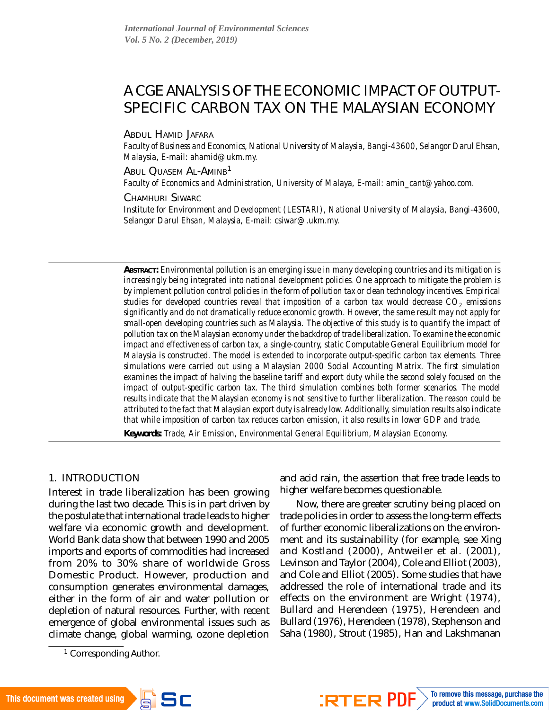# A CGE ANALYSIS OF THE ECONOMIC IMPACT OF OUTPUT-SPECIFIC CARBON TAX ON THE MALAYSIAN ECONOMY

ABDUL HAMID JAFARA

*Faculty of Business and Economics, National University of Malaysia, Bangi-43600, Selangor Darul Ehsan, Malaysia, E-mail: [ahamid@ukm.my.](mailto:ahamid@ukm.my)*

**ABUL QUASEM AL-AMINB<sup>1</sup>** 

Faculty of Economics and Administration, University of Malaya, E-mail: [amin\\_cant@yahoo.com.](mailto:amin_cant@yahoo.com)

CHAMHURI SIWARC

*Institute for Environment and Development (LESTARI), National University of Malaysia, Bangi-43600, Selangor Darul Ehsan, Malaysia, E-mail: csiwar@.ukm.my.*

*ABSTRACT: Environmental pollution is an emerging issue in many developing countries and its mitigation is increasingly being integrated into national development policies. One approach to mitigate the problem is by implement pollution control policies in the form of pollution tax or clean technology incentives. Empirical studies for developed countries reveal that imposition of a carbon tax would decrease CO<sup>2</sup> emissions significantly and do not dramatically reduce economic growth. However, the same result may not apply for small-open developing countries such as Malaysia. The objective of this study is to quantify the impact of pollution tax on the Malaysian economy under the backdrop of trade liberalization. To examine the economic impact and effectiveness of carbon tax, a single-country, static Computable General Equilibrium model for Malaysia is constructed. The model is extended to incorporate output-specific carbon tax elements. Three simulations were carried out using a Malaysian 2000 Social Accounting Matrix. The first simulation examines the impact of halving the baseline tariff and export duty while the second solely focused on the impact of output-specific carbon tax. The third simulation combines both former scenarios. The model results indicate that the Malaysian economy is not sensitive to further liberalization. The reason could be attributed to the fact that Malaysian export duty is already low. Additionally, simulation results also indicate that while imposition of carbon tax reduces carbon emission, it also results in lower GDP and trade.*

*Keywords: Trade, Air Emission, Environmental General Equilibrium, Malaysian Economy.*

## 1. INTRODUCTION

Interest in trade liberalization has been growing during the last two decade. This is in part driven by the postulate that international trade leads to higher welfare via economic growth and development. World Bank data show that between 1990 and 2005 imports and exports of commodities had increased from 20% to 30% share of worldwide Gross Domestic Product. However, production and consumption generates environmental damages, either in the form of air and water pollution or depletion of natural resources. Further, with recent emergence of global environmental issues such as climate change, global warming, ozone depletion

and acid rain, the assertion that free trade leads to higher welfare becomes questionable.

Now, there are greater scrutiny being placed on trade policies in order to assess the long-term effects of further economic liberalizations on the environment and its sustainability (for example, see Xing and Kostland (2000), Antweiler et al. (2001), Levinson and Taylor (2004), Cole and Elliot (2003), and Cole and Elliot (2005). Some studies that have addressed the role of international trade and its effects on the environment are Wright (1974), Bullard and Herendeen (1975), Herendeen and Bullard (1976), Herendeen (1978), Stephenson and Saha (1980), Strout (1985), Han and Lakshmanan

<sup>&</sup>lt;sup>1</sup> Corresponding Author.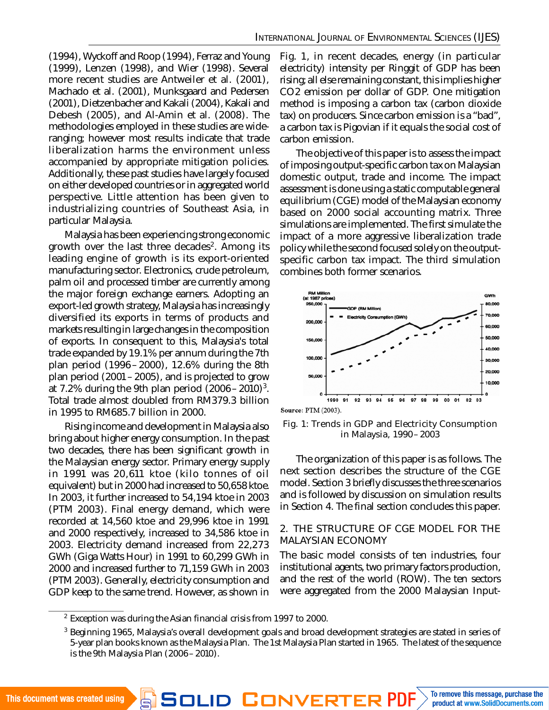(1994), Wyckoff and Roop (1994), Ferraz and Young (1999), Lenzen (1998), and Wier (1998). Several more recent studies are Antweiler et al. (2001), Machado et al. (2001), Munksgaard and Pedersen (2001), Dietzenbacher and Kakali (2004), Kakali and Debesh (2005), and Al-Amin et al. (2008). The methodologies employed in these studies are wideranging; however most results indicate that trade liberalization harms the environment unless accompanied by appropriate mitigation policies. Additionally, these past studies have largely focused on either developed countries or in aggregated world perspective. Little attention has been given to industrializing countries of Southeast Asia, in particular Malaysia.

Malaysia has been experiencing strong economic growth over the last three decades $^{\sf 2}$ . Among its leading engine of growth is its export-oriented manufacturing sector. Electronics, crude petroleum, palm oil and processed timber are currently among the major foreign exchange earners. Adopting an export-led growth strategy, Malaysia has increasingly diversified its exports in terms of products and markets resulting in large changes in the composition of exports. In consequent to this, Malaysia's total trade expanded by 19.1% per annum during the 7th plan period (1996 –2000), 12.6% during the 8th plan period (2001–2005), and is projected to grow at 7.2% during the 9th plan period (2006–2010) $^3$ . Total trade almost doubled from RM379.3 billion in 1995 to RM685.7 billion in 2000.

Rising income and development in Malaysia also bring about higher energy consumption. In the past two decades, there has been significant growth in the Malaysian energy sector. Primary energy supply in 1991 was 20,611 ktoe (kilo tonnes of oil equivalent) but in 2000 had increased to 50,658 ktoe. In 2003, it further increased to 54,194 ktoe in 2003 (PTM 2003). Final energy demand, which were recorded at 14,560 ktoe and 29,996 ktoe in 1991 and 2000 respectively, increased to 34,586 ktoe in 2003. Electricity demand increased from 22,273 GWh (Giga Watts Hour) in 1991 to 60,299 GWh in 2000 and increased further to 71,159 GWh in 2003 (PTM 2003). Generally, electricity consumption and GDP keep to the same trend. However, as shown in

Fig. 1, in recent decades, energy (in particular electricity) intensity per Ringgit of GDP has been rising; all else remaining constant, this implies higher CO2 emission per dollar of GDP. One mitigation method is imposing a carbon tax (carbon dioxide tax) on producers. Since carbon emission is a "bad", a carbon tax is Pigovian if it equals the social cost of carbon emission.

The objective of this paper is to assess the impact of imposing output-specific carbon tax on Malaysian domestic output, trade and income. The impact assessment is done using a static computable general equilibrium (CGE) model of the Malaysian economy based on 2000 social accounting matrix. Three simulations are implemented. The first simulate the impact of a more aggressive liberalization trade policy while the second focused solely on the outputspecific carbon tax impact. The third simulation combines both former scenarios.



**Source: PTM (2003).** 

Fig. 1: Trends in GDP and Electricity Consumption in Malaysia, 1990–2003

The organization of this paper is as follows. The next section describes the structure of the CGE model. Section 3 briefly discusses the three scenarios and is followed by discussion on simulation results in Section 4. The final section concludes this paper.

#### 2. THE STRUCTURE OF CGE MODEL FOR THE MALAYSIAN ECONOMY

The basic model consists of ten industries, four institutional agents, two primary factors production, and the rest of the world (ROW). The ten sectors were aggregated from the 2000 Malaysian Input-

<sup>&</sup>lt;sup>2</sup> Exception was during the Asian financial crisis from 1997 to 2000.

<sup>&</sup>lt;sup>3</sup> Beginning 1965, Malaysia's overall development goals and broad development strategies are stated in series of 5-year plan books known as the Malaysia Plan. The 1st Malaysia Plan started in 1965. The latest of the sequence is the 9th Malaysia Plan (2006–2010).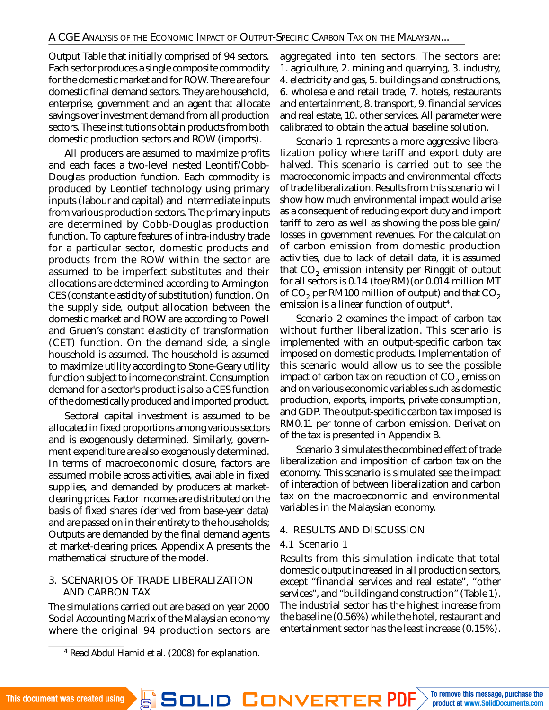Output Table that initially comprised of 94 sectors. Each sector produces a single composite commodity for the domestic market and for ROW. There are four domestic final demand sectors. They are household, enterprise, government and an agent that allocate savings over investment demand from all production sectors. These institutions obtain products from both domestic production sectors and ROW (imports).

All producers are assumed to maximize profits and each faces a two-level nested Leontif/Cobb-Douglas production function. Each commodity is produced by Leontief technology using primary inputs (labour and capital) and intermediate inputs from various production sectors. The primary inputs are determined by Cobb-Douglas production function. To capture features of intra-industry trade for a particular sector, domestic products and products from the ROW within the sector are assumed to be imperfect substitutes and their allocations are determined according to Armington CES (constant elasticity of substitution) function. On the supply side, output allocation between the domestic market and ROW are according to Powell and Gruen's constant elasticity of transformation (CET) function. On the demand side, a single household is assumed. The household is assumed to maximize utility according to Stone-Geary utility function subject to income constraint. Consumption demand for a sector's product is also a CES function of the domestically produced and imported product.

Sectoral capital investment is assumed to be allocated in fixed proportions among various sectors and is exogenously determined. Similarly, government expenditure are also exogenously determined. In terms of macroeconomic closure, factors are assumed mobile across activities, available in fixed supplies, and demanded by producers at marketclearing prices. Factor incomes are distributed on the basis of fixed shares (derived from base-year data) and are passed on in their entirety to the households; Outputs are demanded by the final demand agents at market-clearing prices. Appendix A presents the mathematical structure of the model.

## 3. SCENARIOS OF TRADE LIBERALIZATION AND CARBON TAX

The simulations carried out are based on year 2000 Social Accounting Matrix of the Malaysian economy where the original 94 production sectors are

aggregated into ten sectors. The sectors are: 1. agriculture, 2. mining and quarrying, 3. industry, 4. electricity and gas, 5. buildings and constructions, 6. wholesale and retail trade, 7. hotels, restaurants and entertainment, 8. transport, 9. financial services and real estate, 10. other services. All parameter were calibrated to obtain the actual baseline solution.

Scenario 1 represents a more aggressive liberalization policy where tariff and export duty are halved. This scenario is carried out to see the macroeconomic impacts and environmental effects of trade liberalization. Results from this scenario will show how much environmental impact would arise as a consequent of reducing export duty and import tariff to zero as well as showing the possible gain/ losses in government revenues. For the calculation of carbon emission from domestic production activities, due to lack of detail data, it is assumed that  $\mathrm{CO}_2$  emission intensity per Ringgit of output for all sectors is 0.14 (toe/RM)(or 0.014 million MT of CO $_2$  per RM100 million of output) and that CO $_2$ emission is a linear function of output $^4$ .

Scenario 2 examines the impact of carbon tax without further liberalization. This scenario is implemented with an output-specific carbon tax imposed on domestic products. Implementation of this scenario would allow us to see the possible impact of carbon tax on reduction of CO $_2$  emission and on various economic variables such as domestic production, exports, imports, private consumption, and GDP. The output-specific carbon tax imposed is RM0.11 per tonne of carbon emission. Derivation of the tax is presented in Appendix B.

Scenario 3 simulates the combined effect of trade liberalization and imposition of carbon tax on the economy. This scenario is simulated see the impact of interaction of between liberalization and carbon tax on the macroeconomic and environmental variables in the Malaysian economy.

## 4. RESULTS AND DISCUSSION

## 4.1 Scenario 1

Results from this simulation indicate that total domestic output increased in all production sectors, except "financial services and real estate", "other services", and "building and construction" (Table 1). The industrial sector has the highest increase from the baseline (0.56%) while the hotel, restaurant and entertainment sector has the least increase (0.15%).

<sup>4</sup> Read Abdul Hamid et al. (2008) for explanation.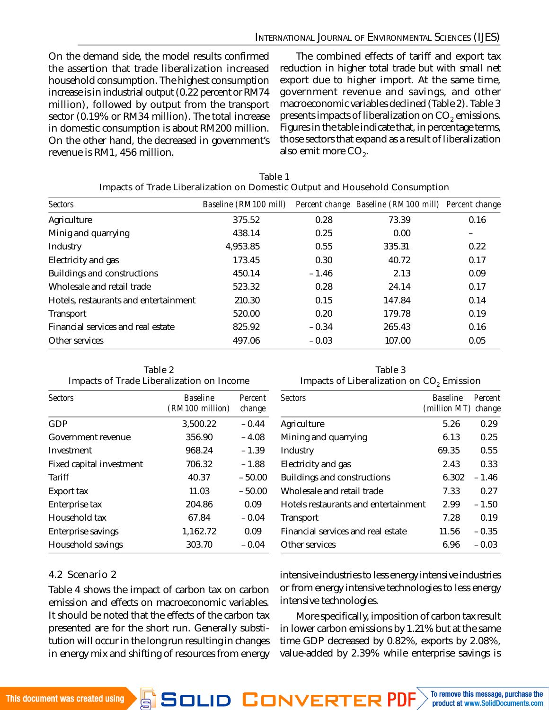On the demand side, the model results confirmed the assertion that trade liberalization increased household consumption. The highest consumption increase is in industrial output (0.22 percent or RM74 million), followed by output from the transport sector (0.19% or RM34 million). The total increase in domestic consumption is about RM200 million. On the other hand, the decreased in government's revenue is RM1, 456 million.

The combined effects of tariff and export tax reduction in higher total trade but with small net export due to higher import. At the same time, government revenue and savings, and other macroeconomic variables declined (Table 2). Table 3 presents impacts of liberalization on CO $_2$  emissions. Figures in the table indicate that, in percentage terms, those sectors that expand as a result of liberalization also emit more CO<sub>2</sub>.

| <b>Sectors</b>                        | Baseline (RM100 mill) |         | Percent change Baseline (RM100 mill) Percent change |      |
|---------------------------------------|-----------------------|---------|-----------------------------------------------------|------|
| Agriculture                           | 375.52                | 0.28    | 73.39                                               | 0.16 |
| Minig and quarrying                   | 438.14                | 0.25    | 0.00                                                |      |
| Industry                              | 4,953.85              | 0.55    | 335.31                                              | 0.22 |
| Electricity and gas                   | 173.45                | 0.30    | 40.72                                               | 0.17 |
| Buildings and constructions           | 450.14                | $-1.46$ | 2.13                                                | 0.09 |
| Wholesale and retail trade            | 523.32                | 0.28    | 24.14                                               | 0.17 |
| Hotels, restaurants and entertainment | 210.30                | 0.15    | 147.84                                              | 0.14 |
| Transport                             | 520.00                | 0.20    | 179.78                                              | 0.19 |
| Financial services and real estate    | 825.92                | $-0.34$ | 265.43                                              | 0.16 |
| Other services                        | 497.06                | $-0.03$ | 107.00                                              | 0.05 |

| Table 1                                                                      |  |
|------------------------------------------------------------------------------|--|
| Impacts of Trade Liberalization on Domestic Output and Household Consumption |  |

| Table 2                                   |
|-------------------------------------------|
| Impacts of Trade Liberalization on Income |

Table 3 Impacts of Liberalization on CO $_2$  Emission

| <b>Sectors</b>           | <b>Baseline</b><br>(RM100 million) | Percent<br>change |  |
|--------------------------|------------------------------------|-------------------|--|
| GDP                      | 3,500.22                           | $-0.44$           |  |
| Government revenue       | 356.90                             | $-4.08$           |  |
| Investment               | 968.24                             | $-1.39$           |  |
| Fixed capital investment | 706.32                             | $-1.88$           |  |
| Tariff                   | 40.37                              | $-50.00$          |  |
| Export tax               | 11.03                              | $-50.00$          |  |
| Enterprise tax           | 204.86                             | 0.09              |  |
| Household tax            | 67.84                              | $-0.04$           |  |
| Enterprise savings       | 1,162.72                           | 0.09              |  |
| Household savings        | 303.70                             | $-0.04$           |  |

| <b>Sectors</b>                       | <b>Baseline</b><br>(million MT) change | Percent |
|--------------------------------------|----------------------------------------|---------|
| Agriculture                          | 5.26                                   | 0.29    |
| Mining and quarrying                 | 6.13                                   | 0.25    |
| Industry                             | 69.35                                  | 0.55    |
| Electricity and gas                  | 2.43                                   | 0.33    |
| Buildings and constructions          | 6.302                                  | $-1.46$ |
| Wholesale and retail trade           | 7.33                                   | 0.27    |
| Hotels restaurants and entertainment | 2.99                                   | $-1.50$ |
| Transport                            | 7.28                                   | 0.19    |
| Financial services and real estate   | 11.56                                  | $-0.35$ |
| Other services                       | 6.96                                   | $-0.03$ |

## 4.2 Scenario 2

Table 4 shows the impact of carbon tax on carbon emission and effects on macroeconomic variables. It should be noted that the effects of the carbon tax presented are for the short run. Generally substitution will occur in the long run resulting in changes in energy mix and shifting of resources from energy

intensive industries to less energy intensive industries or from energy intensive technologies to less energy intensive technologies.

More specifically, imposition of carbon tax result in lower carbon emissions by 1.21% but at the same time GDP decreased by 0.82%, exports by 2.08%, value-added by 2.39% while enterprise savings is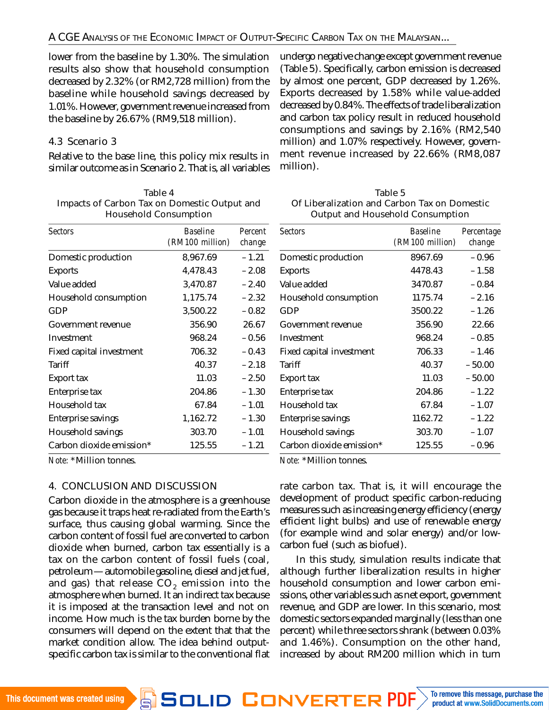lower from the baseline by 1.30%. The simulation results also show that household consumption decreased by 2.32% (or RM2,728 million) from the baseline while household savings decreased by 1.01%. However, government revenue increased from the baseline by 26.67% (RM9,518 million).

## 4.3 Scenario 3

Relative to the base line, this policy mix results in similar outcome as in Scenario 2. That is, all variables undergo negative change except government revenue (Table 5). Specifically, carbon emission is decreased by almost one percent, GDP decreased by 1.26%. Exports decreased by 1.58% while value-added decreased by 0.84%. The effects of trade liberalization and carbon tax policy result in reduced household consumptions and savings by 2.16% (RM2,540 million) and 1.07% respectively. However, government revenue increased by 22.66% (RM8,087 million).

| Table 4                                      |  |  |  |
|----------------------------------------------|--|--|--|
| Impacts of Carbon Tax on Domestic Output and |  |  |  |
| <b>Household Consumption</b>                 |  |  |  |

| Table 5                                      |
|----------------------------------------------|
| Of Liberalization and Carbon Tax on Domestic |
| Output and Household Consumption             |

| Sectors                  | <b>Baseline</b><br>(RM100 million) | Percent<br>change | <b>Sectors</b>           | <b>Baseline</b><br>(RM100 million) | Percentage<br>change |
|--------------------------|------------------------------------|-------------------|--------------------------|------------------------------------|----------------------|
| Domestic production      | 8,967.69                           | $-1.21$           | Domestic production      | 8967.69                            | $-0.96$              |
| Exports                  | 4,478.43                           | $-2.08$           | Exports                  | 4478.43                            | $-1.58$              |
| Value added              | 3,470.87                           | $-2.40$           | Value added              | 3470.87                            | $-0.84$              |
| Household consumption    | 1,175.74                           | $-2.32$           | Household consumption    | 1175.74                            | $-2.16$              |
| GDP                      | 3,500.22                           | $-0.82$           | GDP                      | 3500.22                            | $-1.26$              |
| Government revenue       | 356.90                             | 26.67             | Government revenue       | 356.90                             | 22.66                |
| Investment               | 968.24                             | $-0.56$           | Investment               | 968.24                             | $-0.85$              |
| Fixed capital investment | 706.32                             | $-0.43$           | Fixed capital investment | 706.33                             | $-1.46$              |
| Tariff                   | 40.37                              | $-2.18$           | Tariff                   | 40.37                              | $-50.00$             |
| Export tax               | 11.03                              | $-2.50$           | Export tax               | 11.03                              | $-50.00$             |
| Enterprise tax           | 204.86                             | $-1.30$           | Enterprise tax           | 204.86                             | $-1.22$              |
| Household tax            | 67.84                              | $-1.01$           | Household tax            | 67.84                              | $-1.07$              |
| Enterprise savings       | 1,162.72                           | $-1.30$           | Enterprise savings       | 1162.72                            | $-1.22$              |
| Household savings        | 303.70                             | $-1.01$           | Household savings        | 303.70                             | $-1.07$              |
| Carbon dioxide emission* | 125.55                             | $-1.21$           | Carbon dioxide emission* | 125.55                             | $-0.96$              |
| <b>ALL JAN 49119 11</b>  |                                    |                   | .                        |                                    |                      |

*Note:* \*Million tonnes.

## 4. CONCLUSION AND DISCUSSION

Carbon dioxide in the atmosphere is a greenhouse gas because it traps heat re-radiated from the Earth's surface, thus causing global warming. Since the carbon content of fossil fuel are converted to carbon dioxide when burned, carbon tax essentially is a tax on the carbon content of fossil fuels (coal, petroleum—automobile gasoline, diesel and jet fuel, and gas) that release CO $_2$  emission into the atmosphere when burned. It an indirect tax because it is imposed at the transaction level and not on income. How much is the tax burden borne by the consumers will depend on the extent that that the market condition allow. The idea behind outputspecific carbon tax is similar to the conventional flat *Note:* \*Million tonnes.

rate carbon tax. That is, it will encourage the development of product specific carbon-reducing measures such as increasing energy efficiency (energy efficient light bulbs) and use of renewable energy (for example wind and solar energy) and/or lowcarbon fuel (such as biofuel).

In this study, simulation results indicate that although further liberalization results in higher household consumption and lower carbon emissions, other variables such as net export, government revenue, and GDP are lower. In this scenario, most domestic sectors expanded marginally (less than one percent) while three sectors shrank (between 0.03% and 1.46%). Consumption on the other hand, increased by about RM200 million which in turn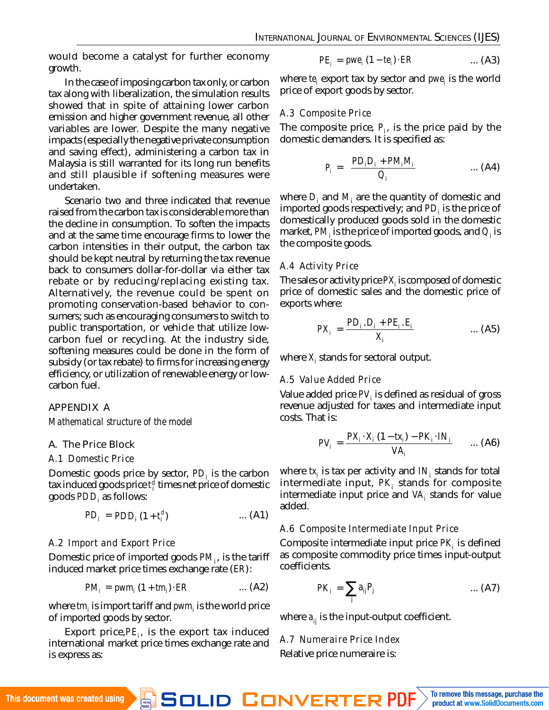would become a catalyst for further economy growth.

In the case of imposing carbon tax only, or carbon tax along with liberalization, the simulation results showed that in spite of attaining lower carbon emission and higher government revenue, all other variables are lower. Despite the many negative impacts (especially the negative private consumption and saving effect), administering a carbon tax in Malaysia is still warranted for its long run benefits and still plausible if softening measures were undertaken.

Scenario two and three indicated that revenue raised from the carbon tax is considerable more than the decline in consumption. To soften the impacts and at the same time encourage firms to lower the carbon intensities in their output, the carbon tax should be kept neutral by returning the tax revenue back to consumers dollar-for-dollar via either tax rebate or by reducing/replacing existing tax. Alternatively, the revenue could be spent on promoting conservation-based behavior to consumers; such as encouraging consumers to switch to public transportation, or vehicle that utilize lowcarbon fuel or recycling. At the industry side, softening measures could be done in the form of subsidy (or tax rebate) to firms for increasing energy efficiency, or utilization of renewable energy or lowcarbon fuel.

## APPENDIX A

*Mathematical structure of the model*

## A. The Price Block

#### *A.1 Domestic Price*

Domestic goods price by sector, *PD<sup>i</sup>* is the carbon tax induced goods price *t d i* times net price of domestic goods *PDD<sup>i</sup>* as follows:

$$
PD_i = PDD_i (1 + t_i^d)
$$
 ... (A1)

## *A.2 Import and Export Price*

Domestic price of imported goods *PM<sup>i</sup>* , is the tariff induced market price times exchange rate (*ER*):

$$
PM_i = \text{pwm}_i (1 + \text{tm}_i) \cdot ER \qquad \qquad \dots (A2)
$$

where *tm<sup>i</sup>* is import tariff and *pwm<sup>i</sup>* is the world price of imported goods by sector.

Export price,*PE<sup>i</sup>* , is the export tax induced international market price times exchange rate and is express as:

$$
PE_i = pwe_i (1 - te_i) \cdot ER \qquad ... (A3)
$$

where *te<sup>i</sup>* export tax by sector and *pwe<sup>i</sup>* is the world price of export goods by sector.

## *A.3 Composite Price*

The composite price, *P<sup>i</sup>* , is the price paid by the domestic demanders. It is specified as:

$$
P_i = \left(\frac{PD_i D_i + PM_i M_i}{Q_i}\right) \qquad \qquad \dots (A4)
$$

where *D<sup>i</sup>* and *M<sup>i</sup>* are the quantity of domestic and imported goods respectively; and *PD<sup>i</sup>* is the price of domestically produced goods sold in the domestic market, *PM<sup>i</sup>* is the price of imported goods, and *Q<sup>i</sup>* is the composite goods.

#### *A.4 Activity Price*

The sales or activity price *PX<sup>i</sup>* is composed of domestic price of domestic sales and the domestic price of exports where:

$$
PX_{i} = \frac{PD_{i} \cdot D_{i} + PE_{i} \cdot E_{i}}{X_{i}} \qquad \qquad \dots (A5)
$$

where *X<sup>i</sup>* stands for sectoral output.

#### *A.5 Value Added Price*

Value added price *PV<sup>i</sup>* is defined as residual of gross revenue adjusted for taxes and intermediate input costs. That is:

$$
PV_i = \frac{PX_i \cdot X_i (1 - tx_i) - PK_i \cdot IN_i}{VA_i}
$$
 ... (A6)

where *tx<sup>i</sup>* is tax per activity and *IN<sup>i</sup>* stands for total intermediate input, PK<sub>i</sub> stands for composite intermediate input price and VA<sub>i</sub> stands for value added.

## *A.6 Composite Intermediate Input Price*

Composite intermediate input price *PK<sup>i</sup>* is defined as composite commodity price times input-output coefficients.

$$
PK_i = \sum_j a_{ij} P_j \qquad \qquad \dots (A7)
$$

where  $a_{ii}$  is the input-output coefficient.

*A.7 Numeraire Price Index* Relative price numeraire is: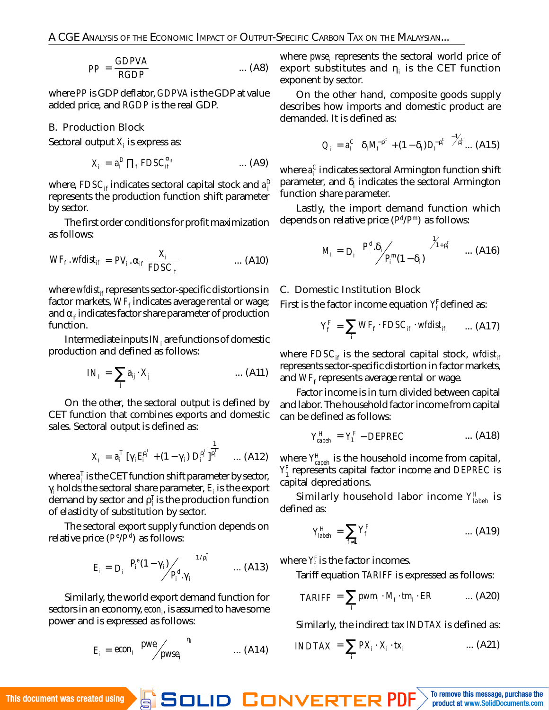$$
PP = \frac{GDPVA}{RGDP} \qquad \qquad \dots (A8)
$$

where *PP* is GDP deflator, *GDPVA* is the GDP at value added price, and *RGDP* is the real GDP.

#### B. Production Block

Sectoral output *X<sup>i</sup>* is express as:

$$
X_i = a_i^D \prod_f F DSC_{if}^{\alpha_{if}} \qquad \qquad \dots (A9)
$$

where, <code>FDSC</code><sub>if</sub> indicates sectoral capital stock and <code>a</code>  $^{\rm D}_{\rm i}$ represents the production function shift parameter by sector.

The first order conditions for profit maximization as follows:

$$
WF_f
$$
. $wfdist_{if} = PV_i \cdot \alpha_{if} \frac{X_i}{FDSC_{if}}$  ... (A10)

where wfdist<sub>if</sub> represents sector-specific distortions in factor markets, *WF<sup>f</sup>* indicates average rental or wage; and  $\alpha_{if}$  indicates factor share parameter of production function.

Intermediate inputs*IN<sup>i</sup>* are functions of domestic production and defined as follows:

$$
IN_i = \sum_j a_{ij} \cdot X_j \qquad \qquad \dots \text{ (A11)}
$$

On the other, the sectoral output is defined by CET function that combines exports and domestic sales. Sectoral output is defined as:

$$
X_{i} \; = \; a_{i}^{T} \; [\gamma_{i} E_{i}^{p_{i}^{T}} \; + \; (1 - \gamma_{i}) \; D_{i}^{p_{i}^{T}} \; ]^{\frac{1}{p_{i}^{T}}} \qquad ... \; (A12)
$$

where  $a_i^T$  is the CET function shift parameter by sector, γ*i* holds the sectoral share parameter, *E<sup>i</sup>* is the export demand by sector and  $\rho_{i}^{\intercal}$  is the production function of elasticity of substitution by sector.

The sectoral export supply function depends on relative price (*P e* /*P d* ) as follows:

$$
E_{i} = D_{i} \left[ \frac{P_{i}^{e}(1-\gamma_{i})}{P_{i}^{d} \cdot \gamma_{i}} \right]^{1/p_{i}^{T}} \qquad ... (A13)
$$

Similarly, the world export demand function for sectors in an economy, *econ<sup>i</sup>* , is assumed to have some power and is expressed as follows:

$$
E_i = econ_i \begin{bmatrix} pwe_i \\ pwse_i \end{bmatrix}^{n_i} \qquad \qquad \dots (A14)
$$

where *pwse<sup>i</sup>* represents the sectoral world price of export substitutes and η*<sup>i</sup>* is the CET function exponent by sector.

On the other hand, composite goods supply describes how imports and domestic product are demanded. It is defined as:

$$
Q_{i} = a_{i}^{C} \left[ \delta_{i} M_{i}^{-\rho_{i}^{C}} + (1 - \delta_{i}) D_{i}^{-\rho_{i}^{C}} \right]^{-1/2_{P_{i}}^{C}} \dots (A15)
$$

where  $a_i^C$  indicates sectoral Armington function shift parameter, and δ*<sup>i</sup>* indicates the sectoral Armington function share parameter.

Lastly, the import demand function which depends on relative price (*P d* /*P <sup>m</sup>*) as follows:

$$
M_i = D_i \begin{bmatrix} P_i^d.\delta_i \\ P_i^m(1-\delta_i) \end{bmatrix}^{\gamma_{1+\rho_i^C}} \quad \dots (A16)
$$

#### C. Domestic Institution Block

First is the factor income equation *Y F f* defined as:

$$
Y_{f}^{F} = \sum_{i} WF_{f} \cdot FDSC_{if} \cdot wfdist_{if} \qquad ... (A17)
$$

where *FDSCif* is the sectoral capital stock, *wfdistif* represents sector-specific distortion in factor markets, and *WF<sup>f</sup>* represents average rental or wage.

Factor income is in turn divided between capital and labor. The household factor income from capital can be defined as follows:

$$
Y_{\text{capeh}}^H = Y_1^F - DEPREC \qquad \qquad \dots (A18)
$$

where *Y H capeh* is the household income from capital, *Y F* 1 represents capital factor income and *DEPREC* is capital depreciations.

Similarly household labor income *Y H labeh* is defined as:

$$
Y_{\text{label}}^H = \sum_{f \neq 1} Y_f^F \qquad \qquad \dots (A19)
$$

where *Y F f* is the factor incomes.

Tariff equation *TARIFF* is expressed as follows:

$$
TARIFF = \sum_{i} pwm_i \cdot M_i \cdot tm_i \cdot ER \qquad ... (A20)
$$

Similarly, the indirect tax *INDTAX* is defined as:

$$
INDTAX = \sum_{i} PX_{i} \cdot X_{i} \cdot tx_{i} \qquad ... (A21)
$$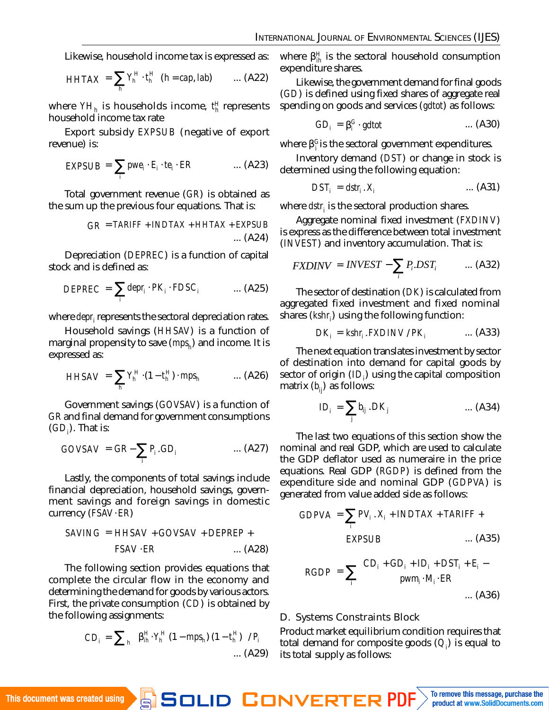Likewise, household income tax is expressed as:

$$
HHTAX = \sum_{h} Y_{h}^{H} \cdot t_{h}^{H} \quad (h = cap, lab) \qquad ... \quad (A22)
$$

where *YH<sup>h</sup>* is households income, *t H h* represents household income tax rate

Export subsidy *EXPSUB* (negative of export revenue) is:

$$
EXPSUB = \sum_{i} pwe_{i} \cdot E_{i} \cdot te_{i} \cdot ER \qquad ... (A23)
$$

Total government revenue (*GR*) is obtained as the sum up the previous four equations. That is:

$$
GR = TARIFF + INDTAX + HHTAX + EXPSUB ... (A24)
$$

Depreciation (*DEPREC*) is a function of capital stock and is defined as:

$$
DEPREC = \sum_{i} \text{depr}_{i} \cdot PK_{i} \cdot FDSC_{i} \qquad ... (A25)
$$

where *depr<sup>i</sup>* represents the sectoral depreciation rates.

Household savings (*HHSAV*) is a function of marginal propensity to save (*mps<sup>h</sup>* ) and income. It is expressed as:

$$
HHSAV = \sum_{h} Y_{h}^{H} \cdot (1 - t_{h}^{H}) \cdot mps_{h} \qquad ... (A26)
$$

Government savings (*GOVSAV*) is a function of *GR* and final demand for government consumptions (*GD<sup>i</sup>* ). That is:

$$
GOVSAV = GR - \sum_{i} P_{i}.GD_{i} \qquad \qquad \dots (A27)
$$

Lastly, the components of total savings include financial depreciation, household savings, government savings and foreign savings in domestic currency (*FSAV*⋅*ER*)

$$
SAVING = HHSAV + GOVSAV + DEPREP + FSAV - ER ... (A28)
$$

The following section provides equations that complete the circular flow in the economy and determining the demand for goods by various actors. First, the private consumption (*CD*) is obtained by the following assignments:

$$
CD_{i} = \sum_{h} \left[ \beta_{ih}^{H} \cdot Y_{h}^{H} (1 - mps_{h}) (1 - t_{h}^{H}) \right] / P_{i}
$$
  
... (A29)

where β *H ih* is the sectoral household consumption expenditure shares.

Likewise, the government demand for final goods (*GD*) is defined using fixed shares of aggregate real spending on goods and services (*gdtot*) as follows:

$$
GD_i = \beta_i^G \cdot \text{gdtot} \qquad \qquad \dots \text{ (A30)}
$$

where β<sup>c</sup>is the sectoral government expenditures.

Inventory demand (*DST*) or change in stock is determined using the following equation:

$$
DST_i = dstr_i \cdot X_i \qquad \qquad \dots \text{ (A31)}
$$

where *dstr<sup>i</sup>* is the sectoral production shares.

Aggregate nominal fixed investment (*FXDINV*) is express as the difference between total investment (*INVEST*) and inventory accumulation. That is:

$$
FXDINV = INVEST - \sum_{i} P_{i} DST_{i} \qquad ... (A32)
$$

The sector of destination (*DK*) is calculated from aggregated fixed investment and fixed nominal shares (*kshr<sup>i</sup>* ) using the following function:

$$
DK_i = kshr_i.FXDINV/PK_i \qquad ... (A33)
$$

The next equation translates investment by sector of destination into demand for capital goods by sector of origin (*ID<sup>i</sup>* ) using the capital composition matrix (*bij*) as follows:

$$
ID_i = \sum_j b_{ij} .DK_j \qquad \qquad \dots (A34)
$$

The last two equations of this section show the nominal and real GDP, which are used to calculate the GDP deflator used as numeraire in the price equations. Real GDP (*RGDP*) is defined from the expenditure side and nominal GDP (*GDPVA*) is generated from value added side as follows:

GDPVA = 
$$
\sum_{i} PV_{i} \cdot X_{i} + INDTAX + TARIFF +
$$
  
EXPSUB ... (A35)

$$
RGDP = \sum_{i} \begin{pmatrix} CD_{i} + GD_{i} + ID_{i} + DST_{i} + E_{i} - \text{pwm}_{i} \cdot M_{i} \cdot ER & \text{m.} \end{pmatrix}
$$

#### D. Systems Constraints Block

Product market equilibrium condition requires that total demand for composite goods (*Q<sup>i</sup>* ) is equal to its total supply as follows: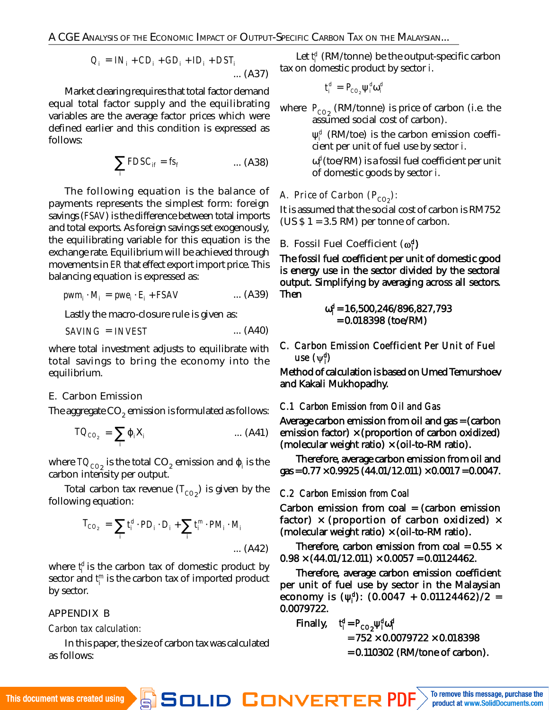A CGE ANALYSIS OF THE ECONOMIC IMPACT OF OUTPUT-SPECIFIC CARBON TAX ON THE MALAYSIAN...

$$
Q_i = IN_i + CD_i + GD_i + ID_i + DST_i
$$
 ... (A37)

Market clearing requires that total factor demand equal total factor supply and the equilibrating variables are the average factor prices which were defined earlier and this condition is expressed as follows:

$$
\sum_{i} FDSC_{if} = fs_{f} \qquad \qquad \dots (A38)
$$

The following equation is the balance of payments represents the simplest form: foreign savings (*FSAV*) is the difference between total imports and total exports. As foreign savings set exogenously, the equilibrating variable for this equation is the exchange rate. Equilibrium will be achieved through movements in *ER* that effect export import price. This balancing equation is expressed as:

$$
pwm_i \cdot M_i = pwe_i \cdot E_i + FSAV \qquad \qquad \dots (A39)
$$

Lastly the macro-closure rule is given as:

$$
SAVING = INVEST \qquad \qquad \dots (A40)
$$

where total investment adjusts to equilibrate with total savings to bring the economy into the equilibrium.

## E. Carbon Emission

The aggregate CO $_2$  emission is formulated as follows:

$$
TO_{CO_2} = \sum_{i} \varphi_i X_i \qquad \qquad \dots (A41)
$$

where TO $_{\rm CO_2}$  is the total CO<sub>2</sub> emission and  $\pmb{\mathfrak{p}}_{\mathsf{i}}$  is the carbon intensity per output.

Total carbon tax revenue (T<sub>CO2</sub>) is given by the following equation:

$$
T_{CO_2} = \sum_{i} t_i^d \cdot PD_i \cdot D_i + \sum_{i} t_i^m \cdot PM_i \cdot M_i
$$
  
... (A42)

where t<sup>d</sup> is the carbon tax of domestic product by sector and *t m i* is the carbon tax of imported product by sector.

## APPENDIX B

*Carbon tax calculation:*

In this paper, the size of carbon tax was calculated as follows:

Let *t d i* (RM/tonne) be the output-specific carbon tax on domestic product by sector *i*.

$$
t_i^d = P_{\text{CO}_2} \psi_i^d \omega_i^d
$$

where P<sub>CO2</sub> (RM/tonne) is price of carbon (i.e. the assumed social cost of carbon).

> ψ *d i* (RM/toe) is the carbon emission coefficient per unit of fuel use by sector *i*.

> ω *d i* (toe/RM) is a fossil fuel coefficient per unit of domestic goods by sector *i*.

*A. Price of Carbon (PCO2 ):*

It is assumed that the social cost of carbon is RM752  $(US $ 1 = 3.5 RM)$  per tonne of carbon.

## B. Fossil Fuel Coefficient ( $\omega_i^d$ )

The fossil fuel coefficient per unit of domestic good is energy use in the sector divided by the sectoral output. Simplifying by averaging across all sectors. Then

$$
\omega_{I}^{d} = 16,500,246/896,827,793
$$
  
= 0.018398 (toe/RM)

*C. Carbon Emission Coefficient Per Unit of Fuel use ( d i )*

Method of calculation is based on Umed Temurshoev and Kakali Mukhopadhy.

## *C.1 Carbon Emission from Oil and Gas*

Average carbon emission from oil and gas = (carbon emission factor)  $\times$  (proportion of carbon oxidized) (molecular weight ratio) × (oil-to-RM ratio).

Therefore, average carbon emission from oil and gas =  $0.77 \times 0.9925$  (44.01/12.011)  $\times 0.0017 = 0.0047$ .

## *C.2 Carbon Emission from Coal*

Carbon emission from coal = (carbon emission factor)  $\times$  (proportion of carbon oxidized)  $\times$ (molecular weight ratio) × (oil-to-RM ratio).

Therefore, carbon emission from coal =  $0.55 \times$  $0.98 \times (44.01/12.011) \times 0.0057 = 0.01124462$ .

Therefore, average carbon emission coefficient per unit of fuel use by sector in the Malaysian economy is (ψ *d i* ): (0.0047 + 0.01124462)/2 = 0.0079722.

Finally, 
$$
t_i^d = P_{CO_2} \Psi_i^d \omega_i^d
$$

 $= 752 \times 0.0079722 \times 0.018398$ 

= 0.110302 (RM/tone of carbon).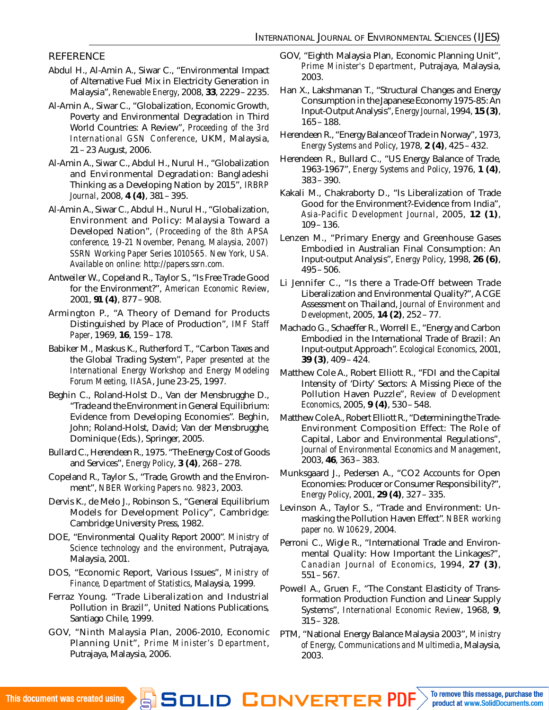## **REFERENCE**

- Abdul H., Al-Amin A., Siwar C., "Environmental Impact of Alternative Fuel Mix in Electricity Generation in Malaysia", *Renewable Energy*, 2008, **33**, 2229–2235.
- Al-Amin A., Siwar C., "Globalization, Economic Growth, Poverty and Environmental Degradation in Third World Countries: A Review", *Proceeding of the 3rd International GSN Conference*, UKM, Malaysia, 21–23 August, 2006.
- Al-Amin A., Siwar C., Abdul H., Nurul H., "Globalization and Environmental Degradation: Bangladeshi Thinking as a Developing Nation by 2015", *IRBRP Journal*, 2008, **4 (4)**, 381–395.
- Al-Amin A., Siwar C., Abdul H., Nurul H., "Globalization, Environment and Policy: Malaysia Toward a Developed Nation", *(Proceeding of the 8th APSA conference, 19-21 November, Penang, Malaysia, 2007) SSRN Working Paper Series 1010565. New York, USA. Available on online: [http://papers.ssrn.com.](http://papers.ssrn.com)*
- Antweiler W., Copeland R., Taylor S., "Is Free Trade Good for the Environment?", *American Economic Review*, 2001, **91 (4)**, 877–908.
- Armington P., "A Theory of Demand for Products Distinguished by Place of Production", *IMF Staff Paper*, 1969, **16**, 159–178.
- Babiker M., Maskus K., Rutherford T., "Carbon Taxes and the Global Trading System", *Paper presented at the International Energy Workshop and Energy Modeling Forum Meeting, IIASA*, June 23-25, 1997.
- Beghin C., Roland-Holst D., Van der Mensbrugghe D., "Trade and the Environment in General Equilibrium: Evidence from Developing Economies". Beghin, John; Roland-Holst, David; Van der Mensbrugghe, Dominique (Eds.), Springer, 2005.
- Bullard C., Herendeen R., 1975. "The Energy Cost of Goods and Services", *Energy Policy*, **3 (4)**, 268–278.
- Copeland R., Taylor S., "Trade, Growth and the Environment", *NBER Working Papers no. 9823*, 2003.
- Dervis K., de Melo J., Robinson S., "General Equilibrium Models for Development Policy", Cambridge: Cambridge University Press, 1982.
- DOE, "Environmental Quality Report 2000". *Ministry of Science technology and the environment*, Putrajaya, Malaysia, 2001.
- DOS, "Economic Report, Various Issues", *Ministry of Finance, Department of Statistics*, Malaysia, 1999.
- Ferraz Young. "Trade Liberalization and Industrial Pollution in Brazil", United Nations Publications, Santiago Chile, 1999.
- GOV, "Ninth Malaysia Plan, 2006-2010, Economic Planning Unit", *Prime Minister's Department*, Putrajaya, Malaysia, 2006.
- GOV, "Eighth Malaysia Plan, Economic Planning Unit", *Prime Minister's Department*, Putrajaya, Malaysia, 2003.
- Han X., Lakshmanan T., "Structural Changes and Energy Consumption in the Japanese Economy 1975-85: An Input-Output Analysis", *Energy Journal*, 1994, **15 (3)**, 165–188.
- Herendeen R., "Energy Balance of Trade in Norway", 1973, *Energy Systems and Policy*, 1978, **2 (4)**, 425–432.
- Herendeen R., Bullard C., "US Energy Balance of Trade, 1963-1967", *Energy Systems and Policy*, 1976, **1 (4)**, 383–390.
- Kakali M., Chakraborty D., "Is Liberalization of Trade Good for the Environment?-Evidence from India", *Asia-Pacific Development Journal*, 2005, **12 (1)**, 109–136.
- Lenzen M., "Primary Energy and Greenhouse Gases Embodied in Australian Final Consumption: An Input-output Analysis", *Energy Policy*, 1998, **26 (6)**, 495–506.
- Li Jennifer C., "Is there a Trade-Off between Trade Liberalization and Environmental Quality?", A CGE Assessment on Thailand, *Journal of Environment and Development*, 2005, **14 (2)**, 252–77.
- Machado G., Schaeffer R., Worrell E., "Energy and Carbon Embodied in the International Trade of Brazil: An Input-output Approach". *Ecological Economics*, 2001, **39 (3)**, 409–424.
- Matthew Cole A., Robert Elliott R., "FDI and the Capital Intensity of 'Dirty' Sectors: A Missing Piece of the Pollution Haven Puzzle", *Review of Development Economics*, 2005, **9 (4)**, 530–548.
- Matthew Cole A., Robert Elliott R., "Determining the Trade-Environment Composition Effect: The Role of Capital, Labor and Environmental Regulations", *Journal of Environmental Economics and Management*, 2003, **46**, 363–383.
- Munksgaard J., Pedersen A., "CO2 Accounts for Open Economies: Producer or Consumer Responsibility?", *Energy Policy*, 2001, **29 (4)**, 327–335.
- Levinson A., Taylor S., "Trade and Environment: Unmasking the Pollution Haven Effect". *NBER working paper no. W10629*, 2004.
- Perroni C., Wigle R., "International Trade and Environmental Quality: How Important the Linkages?", *Canadian Journal of Economics*, 1994, **27 (3)**, 551–567.
- Powell A., Gruen F., "The Constant Elasticity of Transformation Production Function and Linear Supply Systems", *International Economic Review*, 1968, **9**, 315–328.
- PTM, "National Energy Balance Malaysia 2003", *Ministry of Energy, Communications and Multimedia*, Malaysia, 2003.